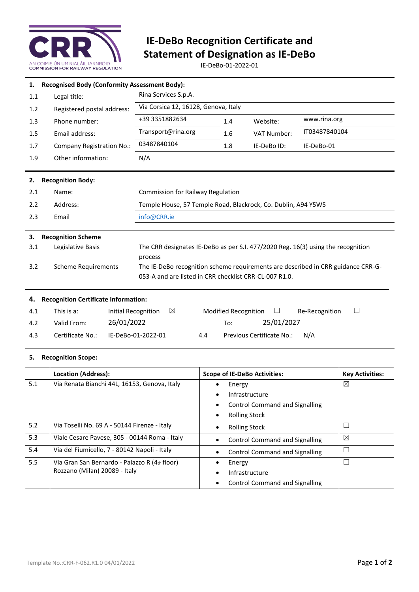

# **IE-DeBo Recognition Certificate and Statement of Designation as IE-DeBo**

IE-DeBo-01-2022-01

| 1.  | <b>Recognised Body (Conformity Assessment Body):</b> |                                                                                  |     |                    |               |  |  |
|-----|------------------------------------------------------|----------------------------------------------------------------------------------|-----|--------------------|---------------|--|--|
| 1.1 | Legal title:                                         | Rina Services S.p.A.                                                             |     |                    |               |  |  |
| 1.2 | Registered postal address:                           | Via Corsica 12, 16128, Genova, Italy                                             |     |                    |               |  |  |
| 1.3 | Phone number:                                        | +39 3351882634                                                                   | 1.4 | Website:           | www.rina.org  |  |  |
| 1.5 | Email address:                                       | Transport@rina.org                                                               | 1.6 | <b>VAT Number:</b> | IT03487840104 |  |  |
| 1.7 | Company Registration No.:                            | 03487840104                                                                      | 1.8 | IE-DeBo ID:        | IE-DeBo-01    |  |  |
| 1.9 | Other information:                                   | N/A                                                                              |     |                    |               |  |  |
|     |                                                      |                                                                                  |     |                    |               |  |  |
| 2.  | <b>Recognition Body:</b>                             |                                                                                  |     |                    |               |  |  |
| 2.1 | Name:                                                | Commission for Railway Regulation                                                |     |                    |               |  |  |
| 2.2 | Address:                                             | Temple House, 57 Temple Road, Blackrock, Co. Dublin, A94 Y5W5                    |     |                    |               |  |  |
| 2.3 | Email                                                | info@CRR.ie                                                                      |     |                    |               |  |  |
|     |                                                      |                                                                                  |     |                    |               |  |  |
| 3.  | <b>Recognition Scheme</b>                            |                                                                                  |     |                    |               |  |  |
| 3.1 | Legislative Basis                                    | The CRR designates IE-DeBo as per S.I. 477/2020 Reg. 16(3) using the recognition |     |                    |               |  |  |
|     |                                                      | process                                                                          |     |                    |               |  |  |
| 3.2 | <b>Scheme Requirements</b>                           | The IE-DeBo recognition scheme requirements are described in CRR guidance CRR-G- |     |                    |               |  |  |
|     |                                                      | 053-A and are listed in CRR checklist CRR-CL-007 R1.0.                           |     |                    |               |  |  |
|     |                                                      |                                                                                  |     |                    |               |  |  |
| 4.  | <b>Recognition Certificate Information:</b>          |                                                                                  |     |                    |               |  |  |

| 4.1 | This is a:       | $\boxtimes$<br>Initial Recognition |     | Modified Recognition      |            | Re-Recognition | $\Box$ |
|-----|------------------|------------------------------------|-----|---------------------------|------------|----------------|--------|
| 4.2 | Valid From:      | 26/01/2022                         |     | To:                       | 25/01/2027 |                |        |
| 4.3 | Certificate No.: | IE-DeBo-01-2022-01                 | 4.4 | Previous Certificate No.: |            | N/A            |        |

### **5. Recognition Scope:**

|     | <b>Location (Address):</b>                    | <b>Scope of IE-DeBo Activities:</b>   | <b>Key Activities:</b> |
|-----|-----------------------------------------------|---------------------------------------|------------------------|
| 5.1 | Via Renata Bianchi 44L, 16153, Genova, Italy  | Energy<br>٠                           | ⊠                      |
|     |                                               | Infrastructure                        |                        |
|     |                                               | <b>Control Command and Signalling</b> |                        |
|     |                                               | <b>Rolling Stock</b>                  |                        |
| 5.2 | Via Toselli No. 69 A - 50144 Firenze - Italy  | <b>Rolling Stock</b>                  |                        |
| 5.3 | Viale Cesare Pavese, 305 - 00144 Roma - Italy | <b>Control Command and Signalling</b> | ⊠                      |
| 5.4 | Via del Fiumicello, 7 - 80142 Napoli - Italy  | <b>Control Command and Signalling</b> |                        |
| 5.5 | Via Gran San Bernardo - Palazzo R (4th floor) | Energy                                |                        |
|     | Rozzano (Milan) 20089 - Italy                 | Infrastructure                        |                        |
|     |                                               | <b>Control Command and Signalling</b> |                        |